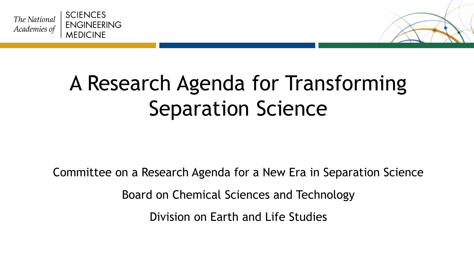



Committee on a Research Agenda for a New Era in Separation Science

Board on Chemical Sciences and Technology

Division on Earth and Life Studies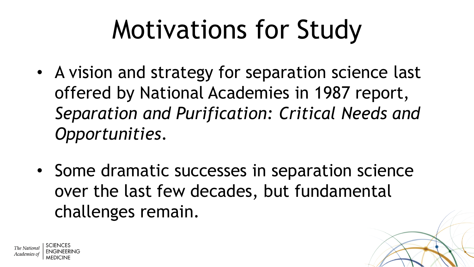# Motivations for Study

- A vision and strategy for separation science last offered by National Academies in 1987 report, *Separation and Purification: Critical Needs and Opportunities*.
- Some dramatic successes in separation science over the last few decades, but fundamental challenges remain.

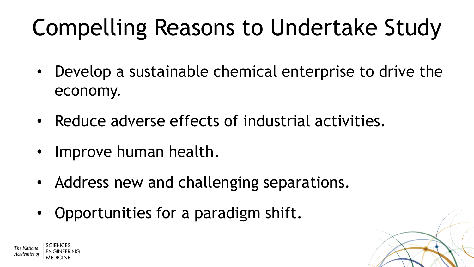# Compelling Reasons to Undertake Study

- Develop a sustainable chemical enterprise to drive the economy.
- Reduce adverse effects of industrial activities.
- Improve human health.
- Address new and challenging separations.
- Opportunities for a paradigm shift.

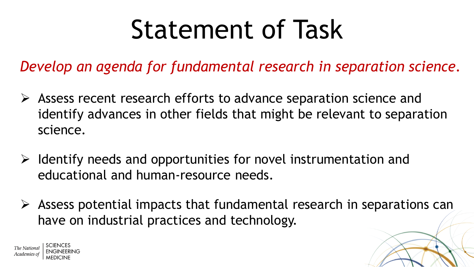# Statement of Task

*Develop an agenda for fundamental research in separation science.*

- $\triangleright$  Assess recent research efforts to advance separation science and identify advances in other fields that might be relevant to separation science.
- $\triangleright$  Identify needs and opportunities for novel instrumentation and educational and human-resource needs.
- $\triangleright$  Assess potential impacts that fundamental research in separations can have on industrial practices and technology.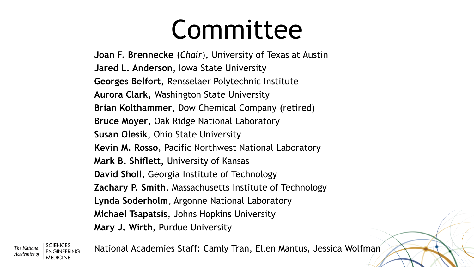# Committee

**Joan F. Brennecke** (*Chair*), University of Texas at Austin **Jared L. Anderson**, Iowa State University **Georges Belfort**, Rensselaer Polytechnic Institute **Aurora Clark**, Washington State University **Brian Kolthammer**, Dow Chemical Company (retired) **Bruce Moyer**, Oak Ridge National Laboratory **Susan Olesik**, Ohio State University **Kevin M. Rosso**, Pacific Northwest National Laboratory **Mark B. Shiflett,** University of Kansas **David Sholl**, Georgia Institute of Technology **Zachary P. Smith**, Massachusetts Institute of Technology **Lynda Soderholm**, Argonne National Laboratory **Michael Tsapatsis**, Johns Hopkins University **Mary J. Wirth**, Purdue University

Academies o

National Academies Staff: Camly Tran, Ellen Mantus, Jessica Wolfman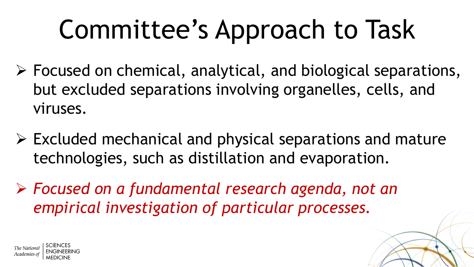# Committee's Approach to Task

- $\triangleright$  Focused on chemical, analytical, and biological separations, but excluded separations involving organelles, cells, and viruses.
- $\triangleright$  Excluded mechanical and physical separations and mature technologies, such as distillation and evaporation.
- *Focused on a fundamental research agenda, not an empirical investigation of particular processes.*

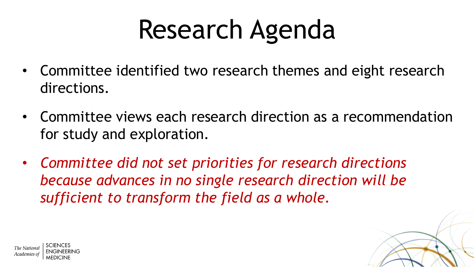# Research Agenda

- Committee identified two research themes and eight research directions.
- Committee views each research direction as a recommendation for study and exploration.
- *Committee did not set priorities for research directions because advances in no single research direction will be sufficient to transform the field as a whole.*

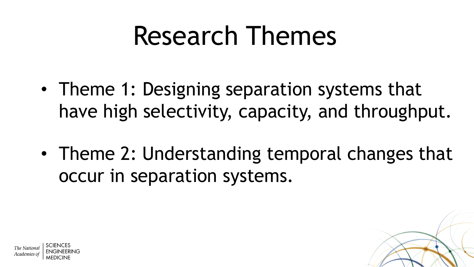# Research Themes

- Theme 1: Designing separation systems that have high selectivity, capacity, and throughput.
- Theme 2: Understanding temporal changes that occur in separation systems.

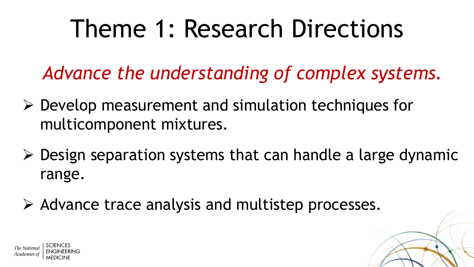*Advance the understanding of complex systems.*

- $\triangleright$  Develop measurement and simulation techniques for multicomponent mixtures.
- $\triangleright$  Design separation systems that can handle a large dynamic range.
- $\triangleright$  Advance trace analysis and multistep processes.

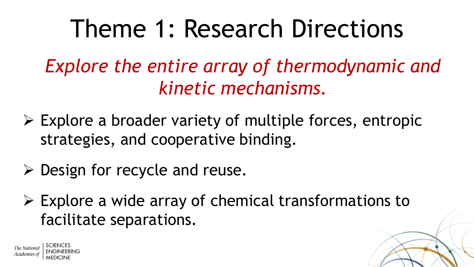*Explore the entire array of thermodynamic and kinetic mechanisms.*

- $\triangleright$  Explore a broader variety of multiple forces, entropic strategies, and cooperative binding.
- $\triangleright$  Design for recycle and reuse.
- $\triangleright$  Explore a wide array of chemical transformations to facilitate separations.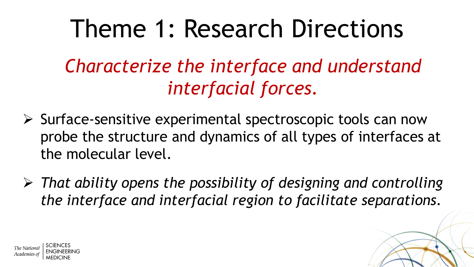*Characterize the interface and understand interfacial forces.*

- $\triangleright$  Surface-sensitive experimental spectroscopic tools can now probe the structure and dynamics of all types of interfaces at the molecular level.
- *That ability opens the possibility of designing and controlling the interface and interfacial region to facilitate separations.*

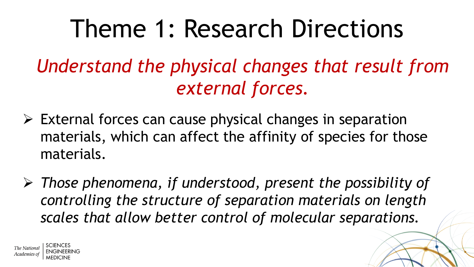*Understand the physical changes that result from external forces.*

- $\triangleright$  External forces can cause physical changes in separation materials, which can affect the affinity of species for those materials.
- *Those phenomena, if understood, present the possibility of controlling the structure of separation materials on length scales that allow better control of molecular separations.*

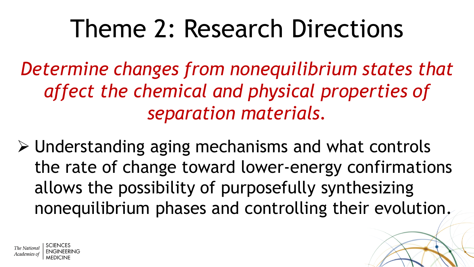*Determine changes from nonequilibrium states that affect the chemical and physical properties of separation materials.*

 Understanding aging mechanisms and what controls the rate of change toward lower-energy confirmations allows the possibility of purposefully synthesizing nonequilibrium phases and controlling their evolution.

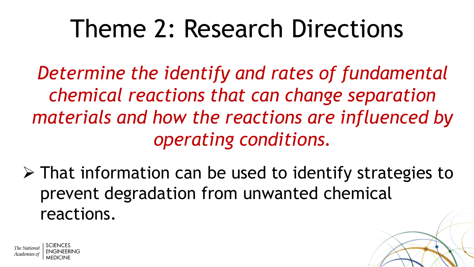*Determine the identify and rates of fundamental chemical reactions that can change separation materials and how the reactions are influenced by operating conditions.*

 $\triangleright$  That information can be used to identify strategies to prevent degradation from unwanted chemical reactions.

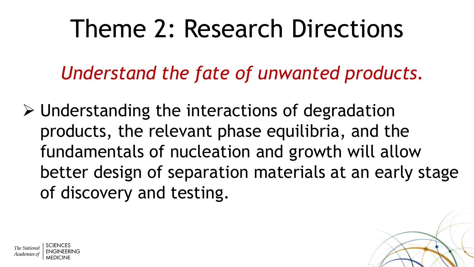*Understand the fate of unwanted products.*

 $\triangleright$  Understanding the interactions of degradation products, the relevant phase equilibria, and the fundamentals of nucleation and growth will allow better design of separation materials at an early stage of discovery and testing.

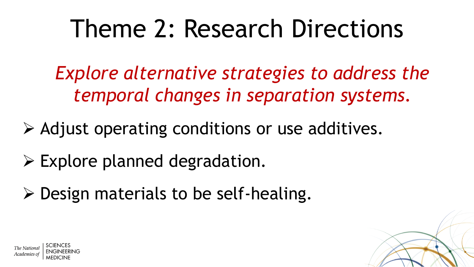*Explore alternative strategies to address the temporal changes in separation systems.*

- $\triangleright$  Adjust operating conditions or use additives.
- $\triangleright$  Explore planned degradation.
- $\triangleright$  Design materials to be self-healing.

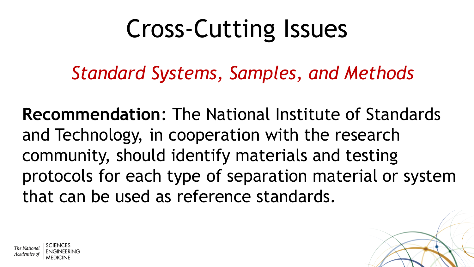## Cross-Cutting Issues

*Standard Systems, Samples, and Methods*

**Recommendation**: The National Institute of Standards and Technology, in cooperation with the research community, should identify materials and testing protocols for each type of separation material or system that can be used as reference standards.

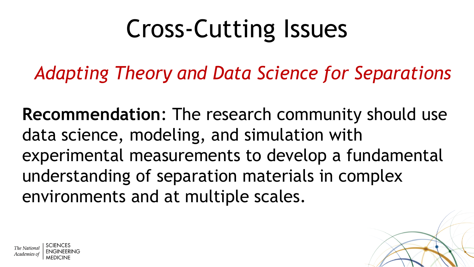# Cross-Cutting Issues

*Adapting Theory and Data Science for Separations*

**Recommendation**: The research community should use data science, modeling, and simulation with experimental measurements to develop a fundamental understanding of separation materials in complex environments and at multiple scales.

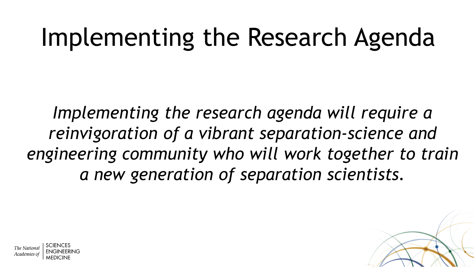# Implementing the Research Agenda

*Implementing the research agenda will require a reinvigoration of a vibrant separation-science and engineering community who will work together to train a new generation of separation scientists.*



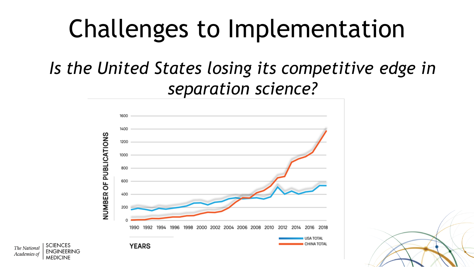## Challenges to Implementation

#### *Is the United States losing its competitive edge in separation science?*



The Nationa Academies o

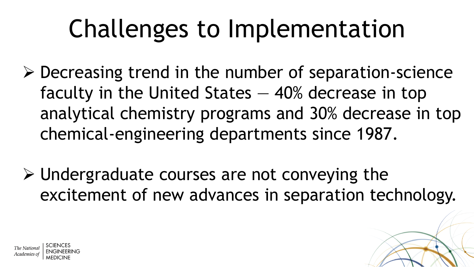# Challenges to Implementation

- $\triangleright$  Decreasing trend in the number of separation-science faculty in the United States — 40% decrease in top analytical chemistry programs and 30% decrease in top chemical-engineering departments since 1987.
- $\triangleright$  Undergraduate courses are not conveying the excitement of new advances in separation technology.

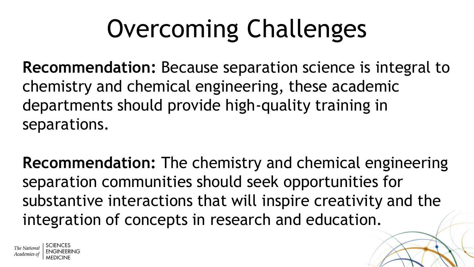# Overcoming Challenges

**Recommendation:** Because separation science is integral to chemistry and chemical engineering, these academic departments should provide high-quality training in separations.

**Recommendation:** The chemistry and chemical engineering separation communities should seek opportunities for substantive interactions that will inspire creativity and the integration of concepts in research and education.

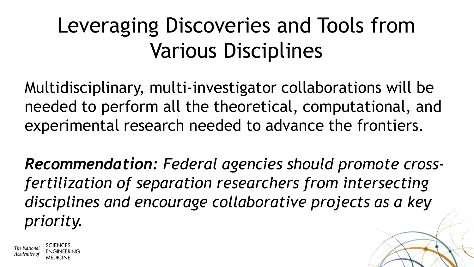#### Leveraging Discoveries and Tools from Various Disciplines

Multidisciplinary, multi-investigator collaborations will be needed to perform all the theoretical, computational, and experimental research needed to advance the frontiers.

*Recommendation: Federal agencies should promote crossfertilization of separation researchers from intersecting disciplines and encourage collaborative projects as a key priority.*

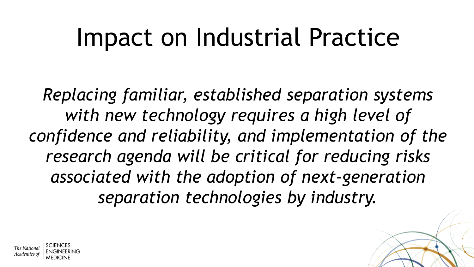#### Impact on Industrial Practice

*Replacing familiar, established separation systems with new technology requires a high level of confidence and reliability, and implementation of the research agenda will be critical for reducing risks associated with the adoption of next-generation separation technologies by industry.*